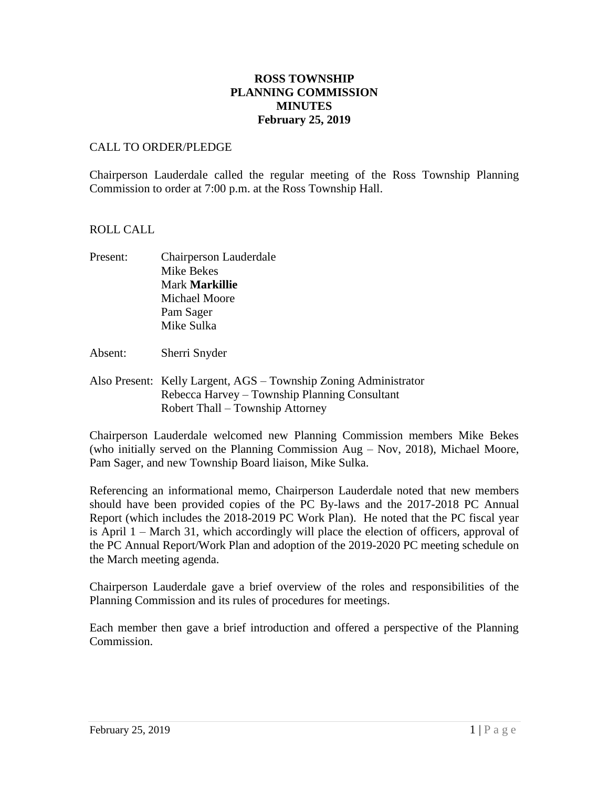## **ROSS TOWNSHIP PLANNING COMMISSION MINUTES February 25, 2019**

### CALL TO ORDER/PLEDGE

Chairperson Lauderdale called the regular meeting of the Ross Township Planning Commission to order at 7:00 p.m. at the Ross Township Hall.

#### ROLL CALL

- Present: Chairperson Lauderdale Mike Bekes Mark **Markillie** Michael Moore Pam Sager Mike Sulka
- Absent: Sherri Snyder
- Also Present: Kelly Largent, AGS Township Zoning Administrator Rebecca Harvey – Township Planning Consultant Robert Thall – Township Attorney

Chairperson Lauderdale welcomed new Planning Commission members Mike Bekes (who initially served on the Planning Commission Aug – Nov, 2018), Michael Moore, Pam Sager, and new Township Board liaison, Mike Sulka.

Referencing an informational memo, Chairperson Lauderdale noted that new members should have been provided copies of the PC By-laws and the 2017-2018 PC Annual Report (which includes the 2018-2019 PC Work Plan). He noted that the PC fiscal year is April 1 – March 31, which accordingly will place the election of officers, approval of the PC Annual Report/Work Plan and adoption of the 2019-2020 PC meeting schedule on the March meeting agenda.

Chairperson Lauderdale gave a brief overview of the roles and responsibilities of the Planning Commission and its rules of procedures for meetings.

Each member then gave a brief introduction and offered a perspective of the Planning Commission.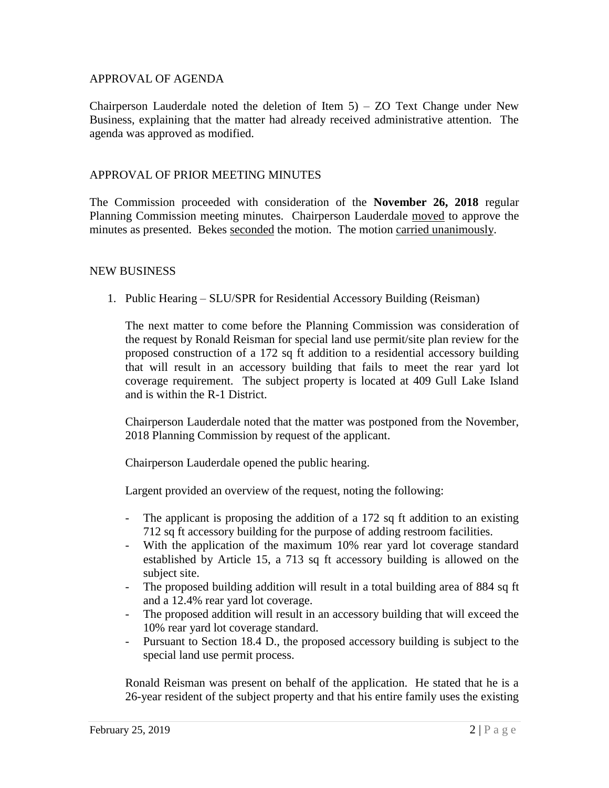#### APPROVAL OF AGENDA

Chairperson Lauderdale noted the deletion of Item  $5$ ) – ZO Text Change under New Business, explaining that the matter had already received administrative attention. The agenda was approved as modified.

#### APPROVAL OF PRIOR MEETING MINUTES

The Commission proceeded with consideration of the **November 26, 2018** regular Planning Commission meeting minutes. Chairperson Lauderdale moved to approve the minutes as presented. Bekes seconded the motion. The motion carried unanimously.

#### NEW BUSINESS

1. Public Hearing – SLU/SPR for Residential Accessory Building (Reisman)

The next matter to come before the Planning Commission was consideration of the request by Ronald Reisman for special land use permit/site plan review for the proposed construction of a 172 sq ft addition to a residential accessory building that will result in an accessory building that fails to meet the rear yard lot coverage requirement. The subject property is located at 409 Gull Lake Island and is within the R-1 District.

Chairperson Lauderdale noted that the matter was postponed from the November, 2018 Planning Commission by request of the applicant.

Chairperson Lauderdale opened the public hearing.

Largent provided an overview of the request, noting the following:

- The applicant is proposing the addition of a 172 sq ft addition to an existing 712 sq ft accessory building for the purpose of adding restroom facilities.
- With the application of the maximum 10% rear yard lot coverage standard established by Article 15, a 713 sq ft accessory building is allowed on the subject site.
- The proposed building addition will result in a total building area of 884 sq ft and a 12.4% rear yard lot coverage.
- The proposed addition will result in an accessory building that will exceed the 10% rear yard lot coverage standard.
- Pursuant to Section 18.4 D., the proposed accessory building is subject to the special land use permit process.

Ronald Reisman was present on behalf of the application. He stated that he is a 26-year resident of the subject property and that his entire family uses the existing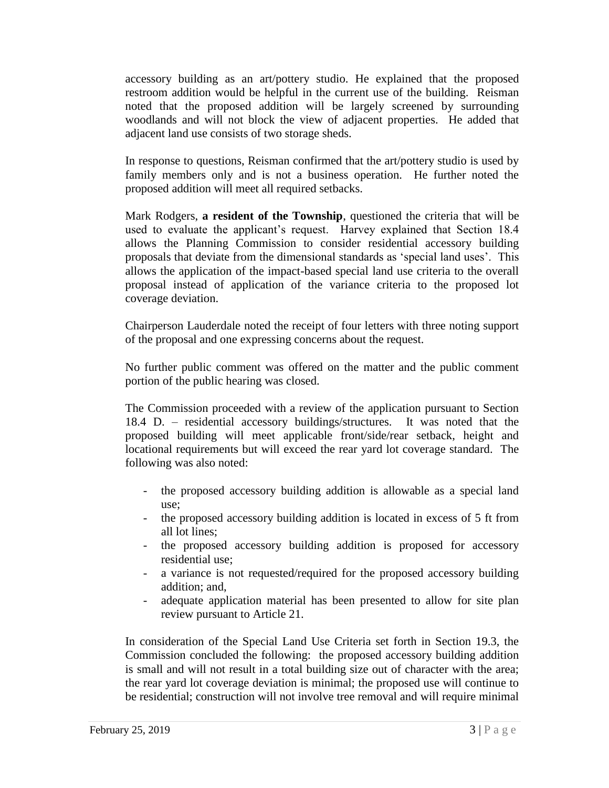accessory building as an art/pottery studio. He explained that the proposed restroom addition would be helpful in the current use of the building. Reisman noted that the proposed addition will be largely screened by surrounding woodlands and will not block the view of adjacent properties. He added that adjacent land use consists of two storage sheds.

In response to questions, Reisman confirmed that the art/pottery studio is used by family members only and is not a business operation. He further noted the proposed addition will meet all required setbacks.

Mark Rodgers, **a resident of the Township**, questioned the criteria that will be used to evaluate the applicant's request. Harvey explained that Section 18.4 allows the Planning Commission to consider residential accessory building proposals that deviate from the dimensional standards as 'special land uses'. This allows the application of the impact-based special land use criteria to the overall proposal instead of application of the variance criteria to the proposed lot coverage deviation.

Chairperson Lauderdale noted the receipt of four letters with three noting support of the proposal and one expressing concerns about the request.

No further public comment was offered on the matter and the public comment portion of the public hearing was closed.

The Commission proceeded with a review of the application pursuant to Section 18.4 D. – residential accessory buildings/structures. It was noted that the proposed building will meet applicable front/side/rear setback, height and locational requirements but will exceed the rear yard lot coverage standard. The following was also noted:

- the proposed accessory building addition is allowable as a special land use;
- the proposed accessory building addition is located in excess of 5 ft from all lot lines;
- the proposed accessory building addition is proposed for accessory residential use;
- a variance is not requested/required for the proposed accessory building addition; and,
- adequate application material has been presented to allow for site plan review pursuant to Article 21.

In consideration of the Special Land Use Criteria set forth in Section 19.3, the Commission concluded the following: the proposed accessory building addition is small and will not result in a total building size out of character with the area; the rear yard lot coverage deviation is minimal; the proposed use will continue to be residential; construction will not involve tree removal and will require minimal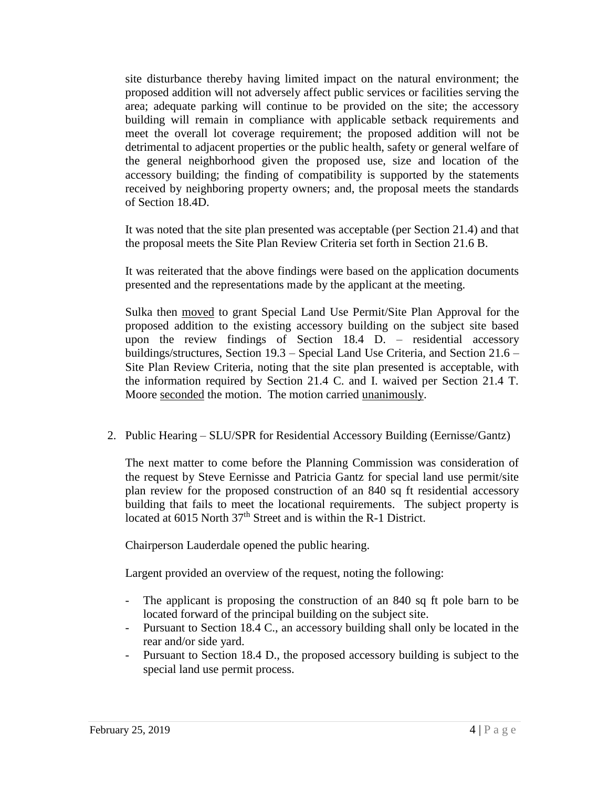site disturbance thereby having limited impact on the natural environment; the proposed addition will not adversely affect public services or facilities serving the area; adequate parking will continue to be provided on the site; the accessory building will remain in compliance with applicable setback requirements and meet the overall lot coverage requirement; the proposed addition will not be detrimental to adjacent properties or the public health, safety or general welfare of the general neighborhood given the proposed use, size and location of the accessory building; the finding of compatibility is supported by the statements received by neighboring property owners; and, the proposal meets the standards of Section 18.4D.

It was noted that the site plan presented was acceptable (per Section 21.4) and that the proposal meets the Site Plan Review Criteria set forth in Section 21.6 B.

It was reiterated that the above findings were based on the application documents presented and the representations made by the applicant at the meeting.

Sulka then moved to grant Special Land Use Permit/Site Plan Approval for the proposed addition to the existing accessory building on the subject site based upon the review findings of Section 18.4 D. – residential accessory buildings/structures, Section 19.3 – Special Land Use Criteria, and Section 21.6 – Site Plan Review Criteria, noting that the site plan presented is acceptable, with the information required by Section 21.4 C. and I. waived per Section 21.4 T. Moore seconded the motion. The motion carried unanimously.

2. Public Hearing – SLU/SPR for Residential Accessory Building (Eernisse/Gantz)

The next matter to come before the Planning Commission was consideration of the request by Steve Eernisse and Patricia Gantz for special land use permit/site plan review for the proposed construction of an 840 sq ft residential accessory building that fails to meet the locational requirements. The subject property is located at 6015 North 37<sup>th</sup> Street and is within the R-1 District.

Chairperson Lauderdale opened the public hearing.

Largent provided an overview of the request, noting the following:

- The applicant is proposing the construction of an 840 sq ft pole barn to be located forward of the principal building on the subject site.
- Pursuant to Section 18.4 C., an accessory building shall only be located in the rear and/or side yard.
- Pursuant to Section 18.4 D., the proposed accessory building is subject to the special land use permit process.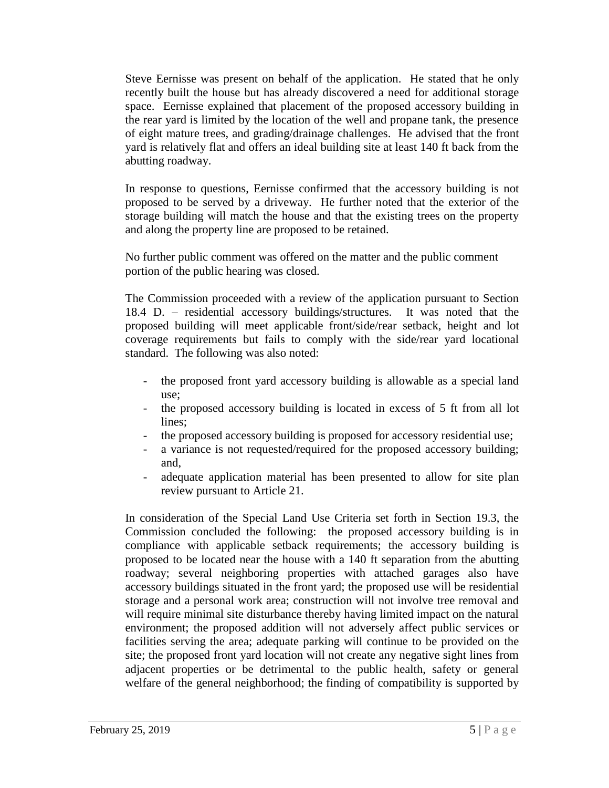Steve Eernisse was present on behalf of the application. He stated that he only recently built the house but has already discovered a need for additional storage space. Eernisse explained that placement of the proposed accessory building in the rear yard is limited by the location of the well and propane tank, the presence of eight mature trees, and grading/drainage challenges. He advised that the front yard is relatively flat and offers an ideal building site at least 140 ft back from the abutting roadway.

In response to questions, Eernisse confirmed that the accessory building is not proposed to be served by a driveway. He further noted that the exterior of the storage building will match the house and that the existing trees on the property and along the property line are proposed to be retained.

No further public comment was offered on the matter and the public comment portion of the public hearing was closed.

The Commission proceeded with a review of the application pursuant to Section 18.4 D. – residential accessory buildings/structures. It was noted that the proposed building will meet applicable front/side/rear setback, height and lot coverage requirements but fails to comply with the side/rear yard locational standard. The following was also noted:

- the proposed front yard accessory building is allowable as a special land use;
- the proposed accessory building is located in excess of 5 ft from all lot lines;
- the proposed accessory building is proposed for accessory residential use;
- a variance is not requested/required for the proposed accessory building; and,
- adequate application material has been presented to allow for site plan review pursuant to Article 21.

In consideration of the Special Land Use Criteria set forth in Section 19.3, the Commission concluded the following: the proposed accessory building is in compliance with applicable setback requirements; the accessory building is proposed to be located near the house with a 140 ft separation from the abutting roadway; several neighboring properties with attached garages also have accessory buildings situated in the front yard; the proposed use will be residential storage and a personal work area; construction will not involve tree removal and will require minimal site disturbance thereby having limited impact on the natural environment; the proposed addition will not adversely affect public services or facilities serving the area; adequate parking will continue to be provided on the site; the proposed front yard location will not create any negative sight lines from adjacent properties or be detrimental to the public health, safety or general welfare of the general neighborhood; the finding of compatibility is supported by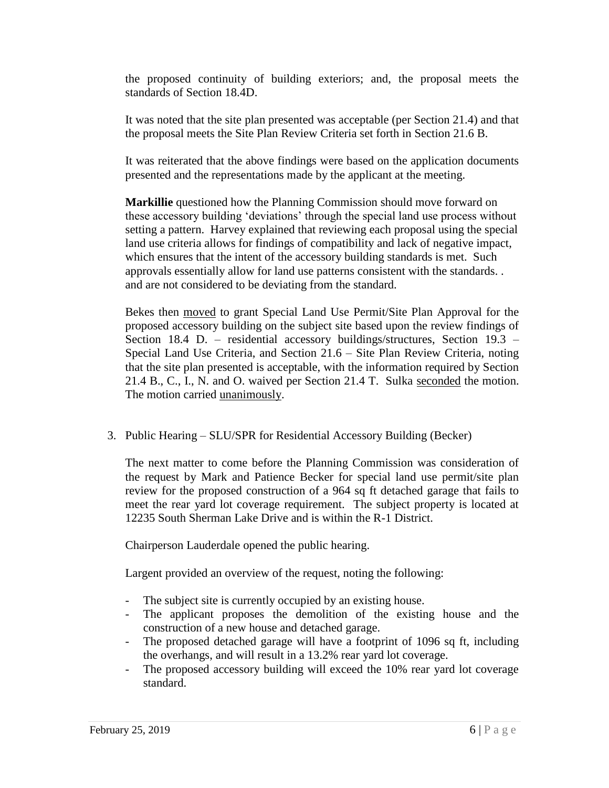the proposed continuity of building exteriors; and, the proposal meets the standards of Section 18.4D.

It was noted that the site plan presented was acceptable (per Section 21.4) and that the proposal meets the Site Plan Review Criteria set forth in Section 21.6 B.

It was reiterated that the above findings were based on the application documents presented and the representations made by the applicant at the meeting.

**Markillie** questioned how the Planning Commission should move forward on these accessory building 'deviations' through the special land use process without setting a pattern. Harvey explained that reviewing each proposal using the special land use criteria allows for findings of compatibility and lack of negative impact, which ensures that the intent of the accessory building standards is met. Such approvals essentially allow for land use patterns consistent with the standards. . and are not considered to be deviating from the standard.

Bekes then moved to grant Special Land Use Permit/Site Plan Approval for the proposed accessory building on the subject site based upon the review findings of Section 18.4 D. – residential accessory buildings/structures, Section 19.3 – Special Land Use Criteria, and Section 21.6 – Site Plan Review Criteria, noting that the site plan presented is acceptable, with the information required by Section 21.4 B., C., I., N. and O. waived per Section 21.4 T. Sulka seconded the motion. The motion carried unanimously.

3. Public Hearing – SLU/SPR for Residential Accessory Building (Becker)

The next matter to come before the Planning Commission was consideration of the request by Mark and Patience Becker for special land use permit/site plan review for the proposed construction of a 964 sq ft detached garage that fails to meet the rear yard lot coverage requirement. The subject property is located at 12235 South Sherman Lake Drive and is within the R-1 District.

Chairperson Lauderdale opened the public hearing.

Largent provided an overview of the request, noting the following:

- The subject site is currently occupied by an existing house.
- The applicant proposes the demolition of the existing house and the construction of a new house and detached garage.
- The proposed detached garage will have a footprint of 1096 sq ft, including the overhangs, and will result in a 13.2% rear yard lot coverage.
- The proposed accessory building will exceed the 10% rear yard lot coverage standard.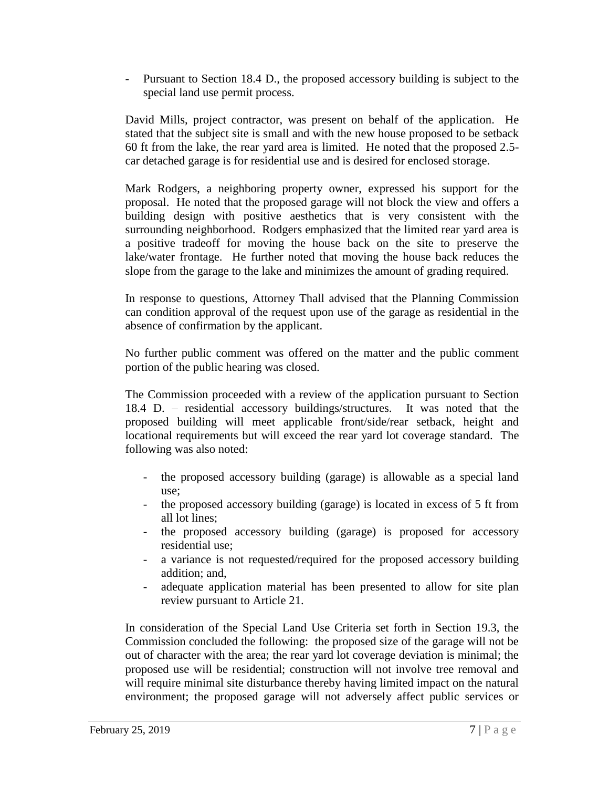- Pursuant to Section 18.4 D., the proposed accessory building is subject to the special land use permit process.

David Mills, project contractor, was present on behalf of the application. He stated that the subject site is small and with the new house proposed to be setback 60 ft from the lake, the rear yard area is limited. He noted that the proposed 2.5 car detached garage is for residential use and is desired for enclosed storage.

Mark Rodgers, a neighboring property owner, expressed his support for the proposal. He noted that the proposed garage will not block the view and offers a building design with positive aesthetics that is very consistent with the surrounding neighborhood. Rodgers emphasized that the limited rear yard area is a positive tradeoff for moving the house back on the site to preserve the lake/water frontage. He further noted that moving the house back reduces the slope from the garage to the lake and minimizes the amount of grading required.

In response to questions, Attorney Thall advised that the Planning Commission can condition approval of the request upon use of the garage as residential in the absence of confirmation by the applicant.

No further public comment was offered on the matter and the public comment portion of the public hearing was closed.

The Commission proceeded with a review of the application pursuant to Section 18.4 D. – residential accessory buildings/structures. It was noted that the proposed building will meet applicable front/side/rear setback, height and locational requirements but will exceed the rear yard lot coverage standard. The following was also noted:

- the proposed accessory building (garage) is allowable as a special land use;
- the proposed accessory building (garage) is located in excess of 5 ft from all lot lines;
- the proposed accessory building (garage) is proposed for accessory residential use;
- a variance is not requested/required for the proposed accessory building addition; and,
- adequate application material has been presented to allow for site plan review pursuant to Article 21.

In consideration of the Special Land Use Criteria set forth in Section 19.3, the Commission concluded the following: the proposed size of the garage will not be out of character with the area; the rear yard lot coverage deviation is minimal; the proposed use will be residential; construction will not involve tree removal and will require minimal site disturbance thereby having limited impact on the natural environment; the proposed garage will not adversely affect public services or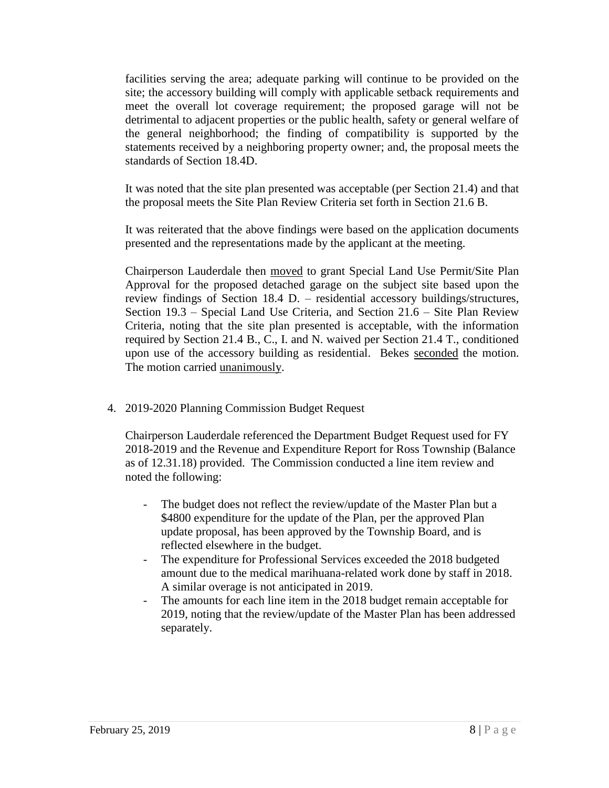facilities serving the area; adequate parking will continue to be provided on the site; the accessory building will comply with applicable setback requirements and meet the overall lot coverage requirement; the proposed garage will not be detrimental to adjacent properties or the public health, safety or general welfare of the general neighborhood; the finding of compatibility is supported by the statements received by a neighboring property owner; and, the proposal meets the standards of Section 18.4D.

It was noted that the site plan presented was acceptable (per Section 21.4) and that the proposal meets the Site Plan Review Criteria set forth in Section 21.6 B.

It was reiterated that the above findings were based on the application documents presented and the representations made by the applicant at the meeting.

Chairperson Lauderdale then moved to grant Special Land Use Permit/Site Plan Approval for the proposed detached garage on the subject site based upon the review findings of Section 18.4 D. – residential accessory buildings/structures, Section 19.3 – Special Land Use Criteria, and Section 21.6 – Site Plan Review Criteria, noting that the site plan presented is acceptable, with the information required by Section 21.4 B., C., I. and N. waived per Section 21.4 T., conditioned upon use of the accessory building as residential. Bekes seconded the motion. The motion carried unanimously.

4. 2019-2020 Planning Commission Budget Request

Chairperson Lauderdale referenced the Department Budget Request used for FY 2018-2019 and the Revenue and Expenditure Report for Ross Township (Balance as of 12.31.18) provided. The Commission conducted a line item review and noted the following:

- The budget does not reflect the review/update of the Master Plan but a \$4800 expenditure for the update of the Plan, per the approved Plan update proposal, has been approved by the Township Board, and is reflected elsewhere in the budget.
- The expenditure for Professional Services exceeded the 2018 budgeted amount due to the medical marihuana-related work done by staff in 2018. A similar overage is not anticipated in 2019.
- The amounts for each line item in the 2018 budget remain acceptable for 2019, noting that the review/update of the Master Plan has been addressed separately.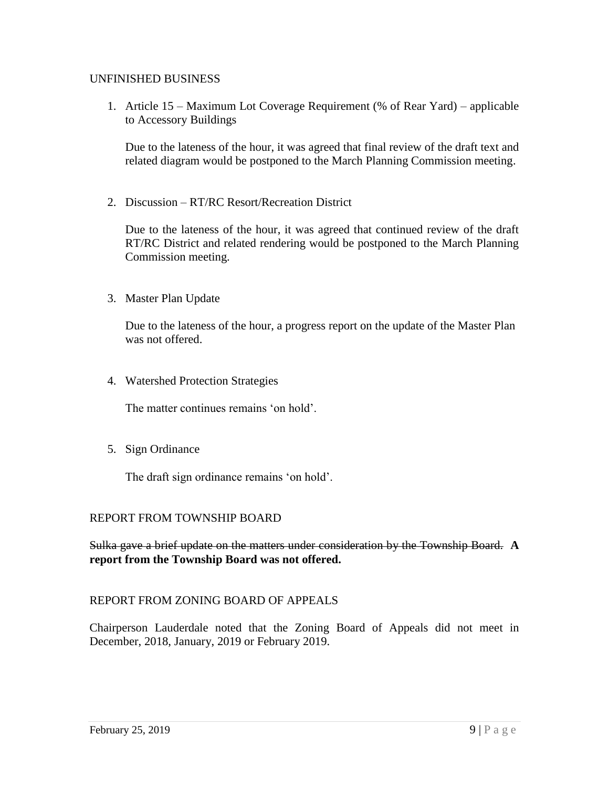### UNFINISHED BUSINESS

1. Article 15 – Maximum Lot Coverage Requirement (% of Rear Yard) – applicable to Accessory Buildings

Due to the lateness of the hour, it was agreed that final review of the draft text and related diagram would be postponed to the March Planning Commission meeting.

2. Discussion – RT/RC Resort/Recreation District

Due to the lateness of the hour, it was agreed that continued review of the draft RT/RC District and related rendering would be postponed to the March Planning Commission meeting.

3. Master Plan Update

Due to the lateness of the hour, a progress report on the update of the Master Plan was not offered.

4. Watershed Protection Strategies

The matter continues remains 'on hold'.

5. Sign Ordinance

The draft sign ordinance remains 'on hold'.

#### REPORT FROM TOWNSHIP BOARD

Sulka gave a brief update on the matters under consideration by the Township Board. **A report from the Township Board was not offered.**

## REPORT FROM ZONING BOARD OF APPEALS

Chairperson Lauderdale noted that the Zoning Board of Appeals did not meet in December, 2018, January, 2019 or February 2019.